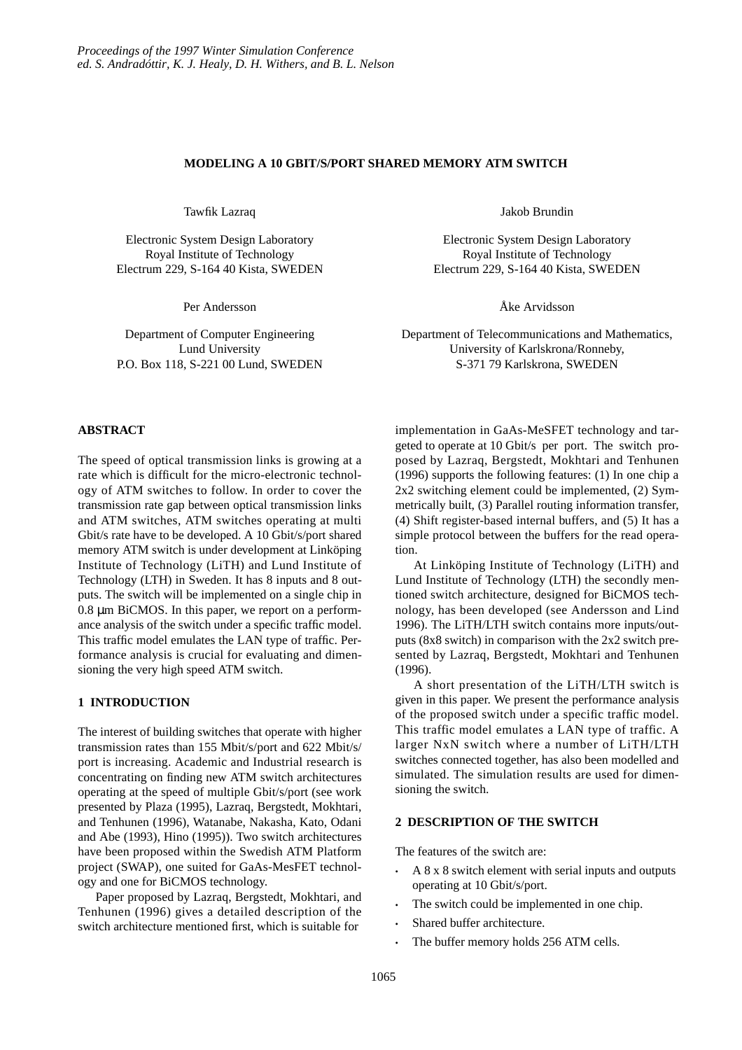## **MODELING A 10 GBIT/S/PORT SHARED MEMORY ATM SWITCH**

Tawfik Lazraq

Electronic System Design Laboratory Royal Institute of Technology Electrum 229, S-164 40 Kista, SWEDEN

Per Andersson

Department of Computer Engineering Lund University P.O. Box 118, S-221 00 Lund, SWEDEN

## **ABSTRACT**

The speed of optical transmission links is growing at a rate which is difficult for the micro-electronic technology of ATM switches to follow. In order to cover the transmission rate gap between optical transmission links and ATM switches, ATM switches operating at multi Gbit/s rate have to be developed. A 10 Gbit/s/port shared memory ATM switch is under development at Linköping Institute of Technology (LiTH) and Lund Institute of Technology (LTH) in Sweden. It has 8 inputs and 8 outputs. The switch will be implemented on a single chip in 0.8 µm BiCMOS. In this paper, we report on a performance analysis of the switch under a specific traffic model. This traffic model emulates the LAN type of traffic. Performance analysis is crucial for evaluating and dimensioning the very high speed ATM switch.

## **1 INTRODUCTION**

The interest of building switches that operate with higher transmission rates than 155 Mbit/s/port and 622 Mbit/s/ port is increasing. Academic and Industrial research is concentrating on finding new ATM switch architectures operating at the speed of multiple Gbit/s/port (see work presented by Plaza (1995), Lazraq, Bergstedt, Mokhtari, and Tenhunen (1996), Watanabe, Nakasha, Kato, Odani and Abe (1993), Hino (1995)). Two switch architectures have been proposed within the Swedish ATM Platform project (SWAP), one suited for GaAs-MesFET technology and one for BiCMOS technology.

Paper proposed by Lazraq, Bergstedt, Mokhtari, and Tenhunen (1996) gives a detailed description of the switch architecture mentioned first, which is suitable for

Jakob Brundin

Electronic System Design Laboratory Royal Institute of Technology Electrum 229, S-164 40 Kista, SWEDEN

Åke Arvidsson

Department of Telecommunications and Mathematics, University of Karlskrona/Ronneby, S-371 79 Karlskrona, SWEDEN

implementation in GaAs-MeSFET technology and targeted to operate at 10 Gbit/s per port. The switch proposed by Lazraq, Bergstedt, Mokhtari and Tenhunen (1996) supports the following features: (1) In one chip a 2x2 switching element could be implemented, (2) Symmetrically built, (3) Parallel routing information transfer, (4) Shift register-based internal buffers, and (5) It has a simple protocol between the buffers for the read operation.

At Linköping Institute of Technology (LiTH) and Lund Institute of Technology (LTH) the secondly mentioned switch architecture, designed for BiCMOS technology, has been developed (see Andersson and Lind 1996). The LiTH/LTH switch contains more inputs/outputs (8x8 switch) in comparison with the 2x2 switch presented by Lazraq, Bergstedt, Mokhtari and Tenhunen (1996).

A short presentation of the LiTH/LTH switch is given in this paper. We present the performance analysis of the proposed switch under a specific traffic model. This traffic model emulates a LAN type of traffic. A larger NxN switch where a number of LiTH/LTH switches connected together, has also been modelled and simulated. The simulation results are used for dimensioning the switch.

## **2 DESCRIPTION OF THE SWITCH**

The features of the switch are:

- A 8 x 8 switch element with serial inputs and outputs operating at 10 Gbit/s/port.
- The switch could be implemented in one chip.
- Shared buffer architecture.
- The buffer memory holds 256 ATM cells.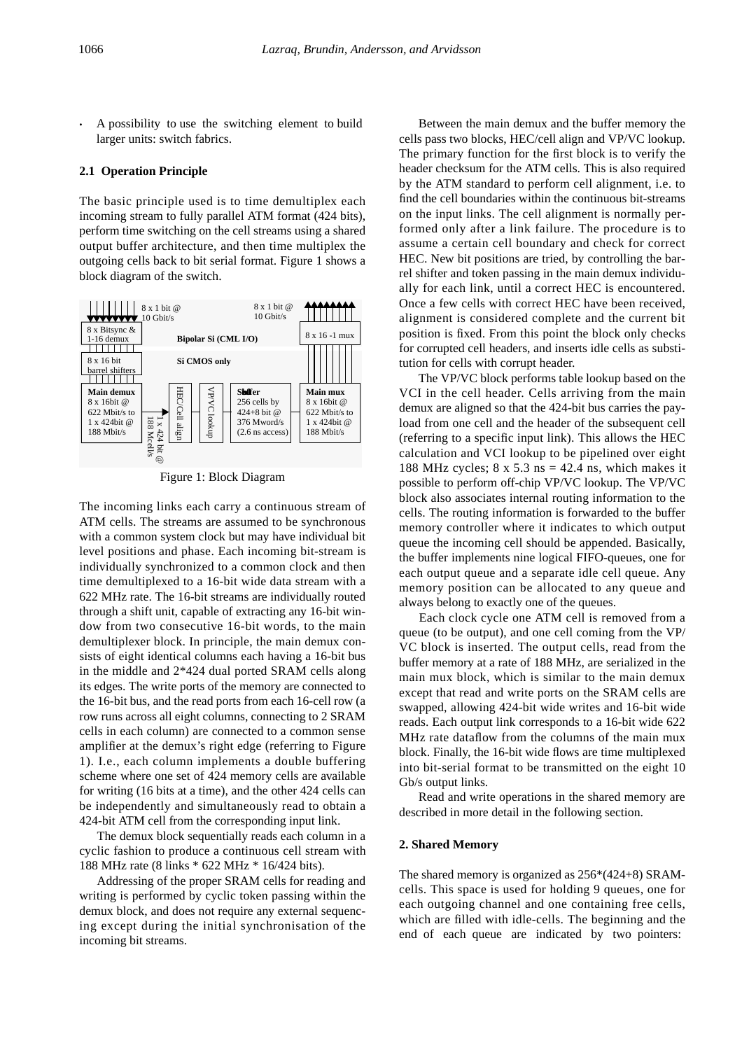• A possibility to use the switching element to build larger units: switch fabrics.

#### **2.1 Operation Principle**

The basic principle used is to time demultiplex each incoming stream to fully parallel ATM format (424 bits), perform time switching on the cell streams using a shared output buffer architecture, and then time multiplex the outgoing cells back to bit serial format. Figure 1 shows a block diagram of the switch.



Figure 1: Block Diagram

The incoming links each carry a continuous stream of ATM cells. The streams are assumed to be synchronous with a common system clock but may have individual bit level positions and phase. Each incoming bit-stream is individually synchronized to a common clock and then time demultiplexed to a 16-bit wide data stream with a 622 MHz rate. The 16-bit streams are individually routed through a shift unit, capable of extracting any 16-bit window from two consecutive 16-bit words, to the main demultiplexer block. In principle, the main demux consists of eight identical columns each having a 16-bit bus in the middle and 2\*424 dual ported SRAM cells along its edges. The write ports of the memory are connected to the 16-bit bus, and the read ports from each 16-cell row (a row runs across all eight columns, connecting to 2 SRAM cells in each column) are connected to a common sense amplifier at the demux's right edge (referring to Figure 1). I.e., each column implements a double buffering scheme where one set of 424 memory cells are available for writing (16 bits at a time), and the other 424 cells can be independently and simultaneously read to obtain a 424-bit ATM cell from the corresponding input link.

The demux block sequentially reads each column in a cyclic fashion to produce a continuous cell stream with 188 MHz rate (8 links \* 622 MHz \* 16/424 bits).

Addressing of the proper SRAM cells for reading and writing is performed by cyclic token passing within the demux block, and does not require any external sequencing except during the initial synchronisation of the incoming bit streams.

Between the main demux and the buffer memory the cells pass two blocks, HEC/cell align and VP/VC lookup. The primary function for the first block is to verify the header checksum for the ATM cells. This is also required by the ATM standard to perform cell alignment, i.e. to find the cell boundaries within the continuous bit-streams on the input links. The cell alignment is normally performed only after a link failure. The procedure is to assume a certain cell boundary and check for correct HEC. New bit positions are tried, by controlling the barrel shifter and token passing in the main demux individually for each link, until a correct HEC is encountered. Once a few cells with correct HEC have been received, alignment is considered complete and the current bit position is fixed. From this point the block only checks for corrupted cell headers, and inserts idle cells as substitution for cells with corrupt header.

The VP/VC block performs table lookup based on the VCI in the cell header. Cells arriving from the main demux are aligned so that the 424-bit bus carries the payload from one cell and the header of the subsequent cell (referring to a specific input link). This allows the HEC calculation and VCI lookup to be pipelined over eight 188 MHz cycles;  $8 \times 5.3$  ns = 42.4 ns, which makes it possible to perform off-chip VP/VC lookup. The VP/VC block also associates internal routing information to the cells. The routing information is forwarded to the buffer memory controller where it indicates to which output queue the incoming cell should be appended. Basically, the buffer implements nine logical FIFO-queues, one for each output queue and a separate idle cell queue. Any memory position can be allocated to any queue and always belong to exactly one of the queues.

Each clock cycle one ATM cell is removed from a queue (to be output), and one cell coming from the VP/ VC block is inserted. The output cells, read from the buffer memory at a rate of 188 MHz, are serialized in the main mux block, which is similar to the main demux except that read and write ports on the SRAM cells are swapped, allowing 424-bit wide writes and 16-bit wide reads. Each output link corresponds to a 16-bit wide 622 MHz rate dataflow from the columns of the main mux block. Finally, the 16-bit wide flows are time multiplexed into bit-serial format to be transmitted on the eight 10 Gb/s output links.

Read and write operations in the shared memory are described in more detail in the following section.

#### **2. Shared Memory**

The shared memory is organized as 256\*(424+8) SRAMcells. This space is used for holding 9 queues, one for each outgoing channel and one containing free cells, which are filled with idle-cells. The beginning and the end of each queue are indicated by two pointers: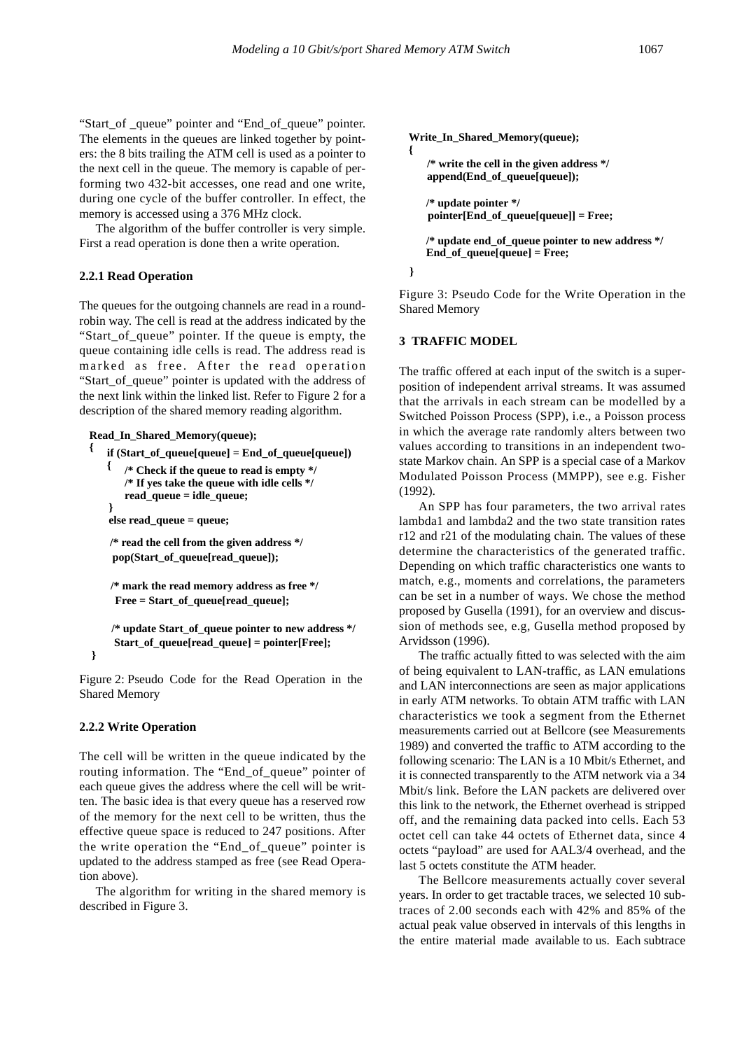"Start\_of \_queue" pointer and "End\_of\_queue" pointer. The elements in the queues are linked together by pointers: the 8 bits trailing the ATM cell is used as a pointer to the next cell in the queue. The memory is capable of performing two 432-bit accesses, one read and one write, during one cycle of the buffer controller. In effect, the memory is accessed using a 376 MHz clock.

The algorithm of the buffer controller is very simple. First a read operation is done then a write operation.

#### **2.2.1 Read Operation**

The queues for the outgoing channels are read in a roundrobin way. The cell is read at the address indicated by the "Start\_of\_queue" pointer. If the queue is empty, the queue containing idle cells is read. The address read is marked as free. After the read operation "Start\_of\_queue" pointer is updated with the address of the next link within the linked list. Refer to Figure 2 for a description of the shared memory reading algorithm.

**Read\_In\_Shared\_Memory(queue);**

```
\frac{1}{2} if (Start_of_queue[queue] = End_of_queue[queue])
```

```
{ /* Check if the queue to read is empty */
read_queue = idle_queue;
/* If yes take the queue with idle cells */
```

```
else read_queue = queue;
```
**}**

**}**

**pop(Start\_of\_queue[read\_queue]); /\* read the cell from the given address \*/**

**Free = Start\_of\_queue[read\_queue]; /\* mark the read memory address as free \*/**

```
Start_of_queue[read_queue] = pointer[Free];
/* update Start_of_queue pointer to new address */
```
Figure 2: Pseudo Code for the Read Operation in the Shared Memory

## **2.2.2 Write Operation**

The cell will be written in the queue indicated by the routing information. The "End\_of\_queue" pointer of each queue gives the address where the cell will be written. The basic idea is that every queue has a reserved row of the memory for the next cell to be written, thus the effective queue space is reduced to 247 positions. After the write operation the "End\_of\_queue" pointer is updated to the address stamped as free (see Read Operation above).

The algorithm for writing in the shared memory is described in Figure 3.

```
Write_In_Shared_Memory(queue);
{
   /* write the cell in the given address */
   append(End_of_queue[queue]);
   /* update pointer */
   pointer[End_of_queue[queue]] = Free;
```
**/\* update end\_of\_queue pointer to new address \*/ End\_of\_queue[queue] = Free;**

**}**

Figure 3: Pseudo Code for the Write Operation in the Shared Memory

## **3 TRAFFIC MODEL**

The traffic offered at each input of the switch is a superposition of independent arrival streams. It was assumed that the arrivals in each stream can be modelled by a Switched Poisson Process (SPP), i.e., a Poisson process in which the average rate randomly alters between two values according to transitions in an independent twostate Markov chain. An SPP is a special case of a Markov Modulated Poisson Process (MMPP), see e.g. Fisher (1992).

An SPP has four parameters, the two arrival rates lambda1 and lambda2 and the two state transition rates r12 and r21 of the modulating chain. The values of these determine the characteristics of the generated traffic. Depending on which traffic characteristics one wants to match, e.g., moments and correlations, the parameters can be set in a number of ways. We chose the method proposed by Gusella (1991), for an overview and discussion of methods see, e.g, Gusella method proposed by Arvidsson (1996).

The traffic actually fitted to was selected with the aim of being equivalent to LAN-traffic, as LAN emulations and LAN interconnections are seen as major applications in early ATM networks. To obtain ATM traffic with LAN characteristics we took a segment from the Ethernet measurements carried out at Bellcore (see Measurements 1989) and converted the traffic to ATM according to the following scenario: The LAN is a 10 Mbit/s Ethernet, and it is connected transparently to the ATM network via a 34 Mbit/s link. Before the LAN packets are delivered over this link to the network, the Ethernet overhead is stripped off, and the remaining data packed into cells. Each 53 octet cell can take 44 octets of Ethernet data, since 4 octets "payload" are used for AAL3/4 overhead, and the last 5 octets constitute the ATM header.

The Bellcore measurements actually cover several years. In order to get tractable traces, we selected 10 subtraces of 2.00 seconds each with 42% and 85% of the actual peak value observed in intervals of this lengths in the entire material made available to us. Each subtrace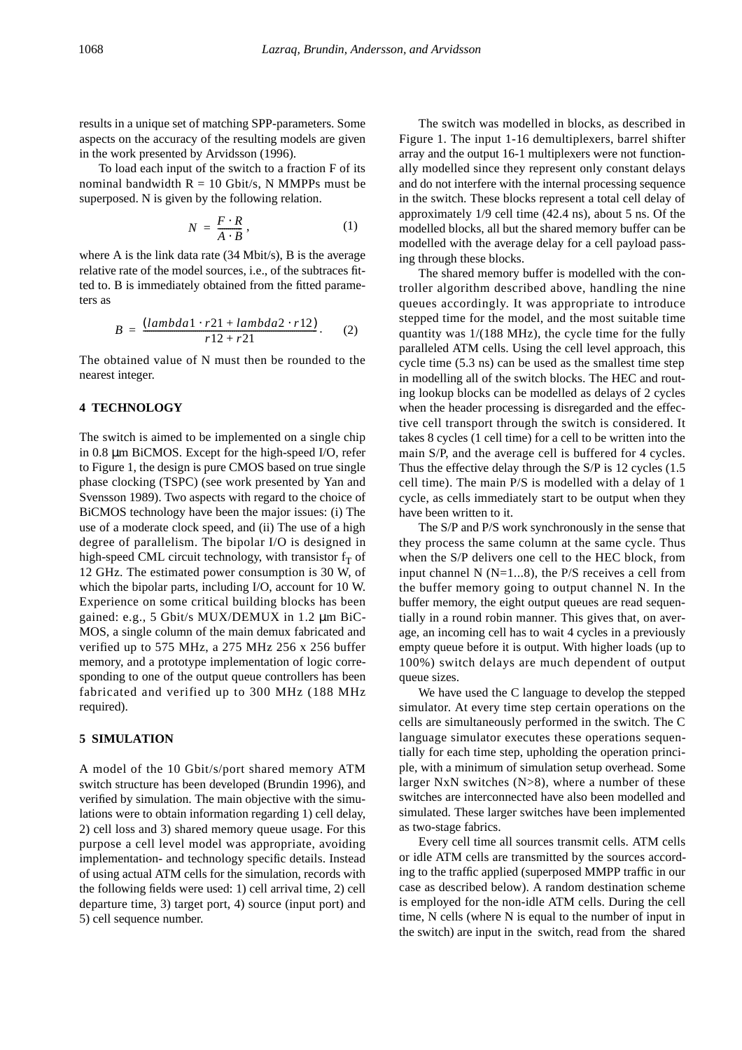results in a unique set of matching SPP-parameters. Some aspects on the accuracy of the resulting models are given in the work presented by Arvidsson (1996).

To load each input of the switch to a fraction F of its nominal bandwidth  $R = 10$  Gbit/s, N MMPPs must be superposed. N is given by the following relation.

$$
N = \frac{F \cdot R}{A \cdot B},\tag{1}
$$

where A is the link data rate (34 Mbit/s), B is the average relative rate of the model sources, i.e., of the subtraces fitted to. B is immediately obtained from the fitted parameters as

$$
B = \frac{(lambda1 + r21 + lambda2 \cdot r12)}{r12 + r21}.
$$
 (2)

The obtained value of N must then be rounded to the nearest integer.

# **4 TECHNOLOGY**

The switch is aimed to be implemented on a single chip in 0.8 µm BiCMOS. Except for the high-speed I/O, refer to Figure 1, the design is pure CMOS based on true single phase clocking (TSPC) (see work presented by Yan and Svensson 1989). Two aspects with regard to the choice of BiCMOS technology have been the major issues: (i) The use of a moderate clock speed, and (ii) The use of a high degree of parallelism. The bipolar I/O is designed in high-speed CML circuit technology, with transistor  $f<sub>T</sub>$  of 12 GHz. The estimated power consumption is 30 W, of which the bipolar parts, including I/O, account for 10 W. Experience on some critical building blocks has been gained: e.g., 5 Gbit/s MUX/DEMUX in 1.2 µm BiC-MOS, a single column of the main demux fabricated and verified up to 575 MHz, a 275 MHz 256 x 256 buffer memory, and a prototype implementation of logic corresponding to one of the output queue controllers has been fabricated and verified up to 300 MHz (188 MHz required).

#### **5 SIMULATION**

A model of the 10 Gbit/s/port shared memory ATM switch structure has been developed (Brundin 1996), and verified by simulation. The main objective with the simulations were to obtain information regarding 1) cell delay, 2) cell loss and 3) shared memory queue usage. For this purpose a cell level model was appropriate, avoiding implementation- and technology specific details. Instead of using actual ATM cells for the simulation, records with the following fields were used: 1) cell arrival time, 2) cell departure time, 3) target port, 4) source (input port) and 5) cell sequence number.

The switch was modelled in blocks, as described in Figure 1. The input 1-16 demultiplexers, barrel shifter array and the output 16-1 multiplexers were not functionally modelled since they represent only constant delays and do not interfere with the internal processing sequence in the switch. These blocks represent a total cell delay of approximately 1/9 cell time (42.4 ns), about 5 ns. Of the modelled blocks, all but the shared memory buffer can be modelled with the average delay for a cell payload passing through these blocks.

The shared memory buffer is modelled with the controller algorithm described above, handling the nine queues accordingly. It was appropriate to introduce stepped time for the model, and the most suitable time quantity was 1/(188 MHz), the cycle time for the fully paralleled ATM cells. Using the cell level approach, this cycle time (5.3 ns) can be used as the smallest time step in modelling all of the switch blocks. The HEC and routing lookup blocks can be modelled as delays of 2 cycles when the header processing is disregarded and the effective cell transport through the switch is considered. It takes 8 cycles (1 cell time) for a cell to be written into the main S/P, and the average cell is buffered for 4 cycles. Thus the effective delay through the S/P is 12 cycles (1.5 cell time). The main P/S is modelled with a delay of 1 cycle, as cells immediately start to be output when they have been written to it.

The S/P and P/S work synchronously in the sense that they process the same column at the same cycle. Thus when the S/P delivers one cell to the HEC block, from input channel N  $(N=1...8)$ , the P/S receives a cell from the buffer memory going to output channel N. In the buffer memory, the eight output queues are read sequentially in a round robin manner. This gives that, on average, an incoming cell has to wait 4 cycles in a previously empty queue before it is output. With higher loads (up to 100%) switch delays are much dependent of output queue sizes.

We have used the C language to develop the stepped simulator. At every time step certain operations on the cells are simultaneously performed in the switch. The C language simulator executes these operations sequentially for each time step, upholding the operation principle, with a minimum of simulation setup overhead. Some larger NxN switches  $(N>8)$ , where a number of these switches are interconnected have also been modelled and simulated. These larger switches have been implemented as two-stage fabrics.

Every cell time all sources transmit cells. ATM cells or idle ATM cells are transmitted by the sources according to the traffic applied (superposed MMPP traffic in our case as described below). A random destination scheme is employed for the non-idle ATM cells. During the cell time, N cells (where N is equal to the number of input in the switch) are input in the switch, read from the shared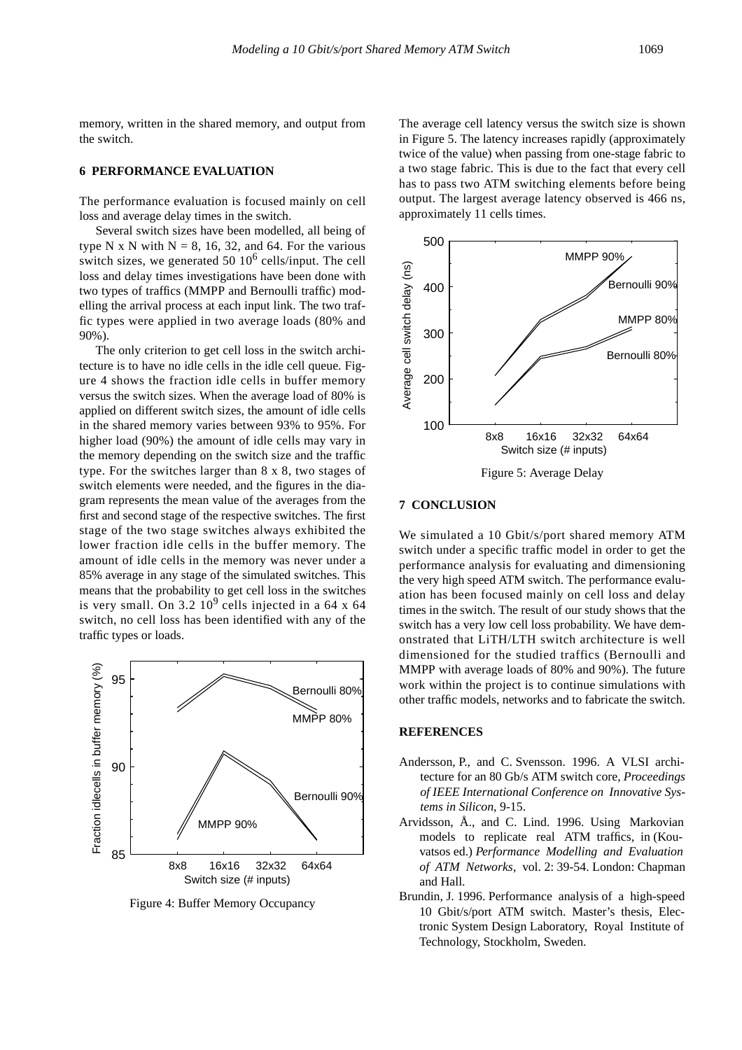memory, written in the shared memory, and output from the switch.

# **6 PERFORMANCE EVALUATION**

The performance evaluation is focused mainly on cell loss and average delay times in the switch.

Several switch sizes have been modelled, all being of type N x N with  $N = 8$ , 16, 32, and 64. For the various switch sizes, we generated 50  $10^6$  cells/input. The cell loss and delay times investigations have been done with two types of traffics (MMPP and Bernoulli traffic) modelling the arrival process at each input link. The two traffic types were applied in two average loads (80% and 90%).

The only criterion to get cell loss in the switch architecture is to have no idle cells in the idle cell queue. Figure 4 shows the fraction idle cells in buffer memory versus the switch sizes. When the average load of 80% is applied on different switch sizes, the amount of idle cells in the shared memory varies between 93% to 95%. For higher load (90%) the amount of idle cells may vary in the memory depending on the switch size and the traffic type. For the switches larger than 8 x 8, two stages of switch elements were needed, and the figures in the diagram represents the mean value of the averages from the first and second stage of the respective switches. The first stage of the two stage switches always exhibited the lower fraction idle cells in the buffer memory. The amount of idle cells in the memory was never under a 85% average in any stage of the simulated switches. This means that the probability to get cell loss in the switches is very small. On 3.2  $10^9$  cells injected in a 64 x 64 switch, no cell loss has been identified with any of the traffic types or loads.



Figure 4: Buffer Memory Occupancy

The average cell latency versus the switch size is shown in Figure 5. The latency increases rapidly (approximately twice of the value) when passing from one-stage fabric to a two stage fabric. This is due to the fact that every cell has to pass two ATM switching elements before being output. The largest average latency observed is 466 ns, approximately 11 cells times.



## **7 CONCLUSION**

We simulated a 10 Gbit/s/port shared memory ATM switch under a specific traffic model in order to get the performance analysis for evaluating and dimensioning the very high speed ATM switch. The performance evaluation has been focused mainly on cell loss and delay times in the switch. The result of our study shows that the switch has a very low cell loss probability. We have demonstrated that LiTH/LTH switch architecture is well dimensioned for the studied traffics (Bernoulli and MMPP with average loads of 80% and 90%). The future work within the project is to continue simulations with other traffic models, networks and to fabricate the switch.

## **REFERENCES**

- Andersson, P., and C. Svensson. 1996. A VLSI architecture for an 80 Gb/s ATM switch core, *Proceedings of IEEE International Conference on Innovative Systems in Silicon*, 9-15.
- Arvidsson, Å., and C. Lind. 1996. Using Markovian models to replicate real ATM traffics, in (Kouvatsos ed.) *Performance Modelling and Evaluation of ATM Networks*, vol. 2: 39-54. London: Chapman and Hall.
- Brundin, J. 1996. Performance analysis of a high-speed 10 Gbit/s/port ATM switch. Master's thesis, Electronic System Design Laboratory, Royal Institute of Technology, Stockholm, Sweden.